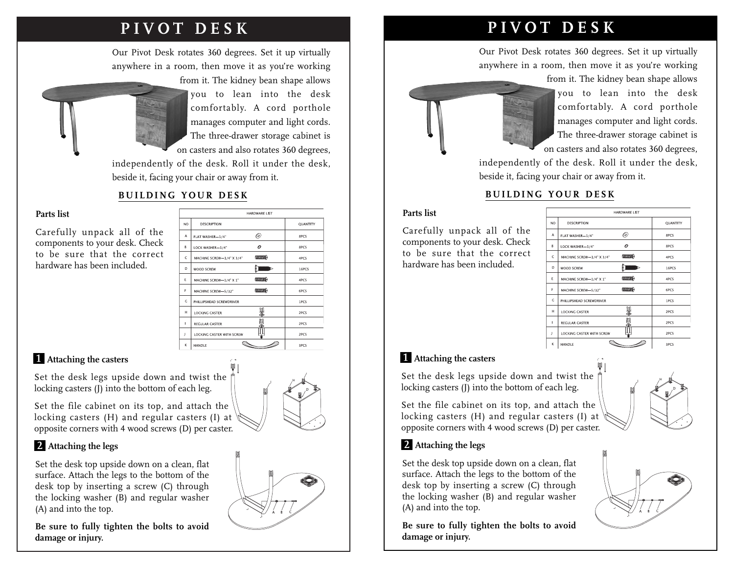# **PIVOT DESK**

Our Pivot Desk rotates 360 degrees. Set it up virtually anywhere in a room, then move it as you're working



from it. The kidney bean shape allows you to lean into the desk comfortably. A cord porthole manages computer and light cords. The three-drawer storage cabinet is on casters and also rotates 360 degrees,

independently of the desk. Roll it under the desk, beside it, facing your chair or away from it.

# **BUILDING YOUR DESK**

#### **Parts list**

Carefully unpack all of the components to your desk. Check to be sure that the correct hardware has been included.

| <b>HARDWARE LIST</b> |                           |                      |                 |
|----------------------|---------------------------|----------------------|-----------------|
| NO.                  | <b>DESCRIPTION</b>        |                      | <b>OUANTITY</b> |
| A                    | FLAT WASHER-1/4"          | ◎                    | 8PCS            |
| R.                   | LOCK WASHER-1/4"          | 0                    | 8PCS            |
| c                    | MACHINE SCREW-1/4" X 3/4" | <b>CONTRACTOR</b>    | 4PCS            |
| D                    | <b>WOOD SCREW</b>         |                      | 16PCS           |
| Ε                    | MACHINE SCREW-1/4" X 1"   | <b>COLORADO DE P</b> | 4PCS            |
| F                    | MACHINE SCREW-5/32"       | <b>CONSUMER</b>      | 6PCS            |
| G.                   | PHILLIPSHEAD SCREWDRIVER  |                      | 1PCS            |
| H                    | <b>LOCKING CASTER</b>     |                      | 2PCS            |
| $\mathbf{I}$         | REGULAR CASTER            |                      | 2PCS            |
| J.                   | LOCKING CASTER WITH SCREW |                      | 2PCS            |
| ĸ                    | HANDI F                   |                      | 3PCS            |

### **Attaching the casters 1**

Set the desk legs upside down and twist the locking casters (J) into the bottom of each leg.

Set the file cabinet on its top, and attach the locking casters (H) and regular casters (I) at opposite corners with 4 wood screws (D) per caster.



#### **Attaching the legs 2**

Set the desk top upside down on a clean, flat surface. Attach the legs to the bottom of the desk top by inserting a screw (C) through the locking washer (B) and regular washer (A) and into the top.

**Be sure to fully tighten the bolts to avoid damage or injury.**